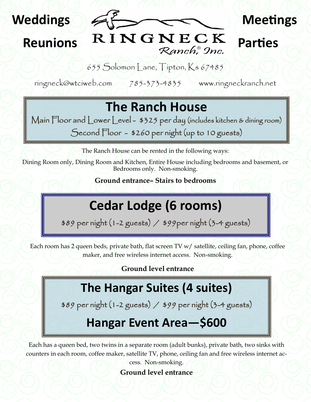

**Reunions**

655 Solomon Lane, Tipton, Ks 67485

**Meetings**

**Parties**

ringneck@wtciweb.com 785-373-4835 www.ringneckranch.net

RINGNECK

Ranch, 9nc.

# **The Ranch House**

Main Floor and Lower Level - \$325 per day (includes kitchen & dining room)

Second Floor - \$260 per night (up to 10 guests)

The Ranch House can be rented in the following ways:

Dining Room only, Dining Room and Kitchen, Entire House including bedrooms and basement, or Bedrooms only. Non-smoking.

**Ground entrance– Stairs to bedrooms**

# **Cedar Lodge (6 rooms)**

\$89 per night (1-2 guests) / \$99per night (3-4 guests)

Each room has 2 queen beds, private bath, flat screen TV w/ satellite, ceiling fan, phone, coffee maker, and free wireless internet access. Non-smoking.

**Ground level entrance**

## **The Hangar Suites (4 suites)**

\$89 per night (1-2 guests) / \$99 per night (3-4 guests)

## **Hangar Event Area—\$600**

Each has a queen bed, two twins in a separate room (adult bunks), private bath, two sinks with counters in each room, coffee maker, satellite TV, phone, ceiling fan and free wireless internet ac-

> cess. Non-smoking. **Ground level entrance**